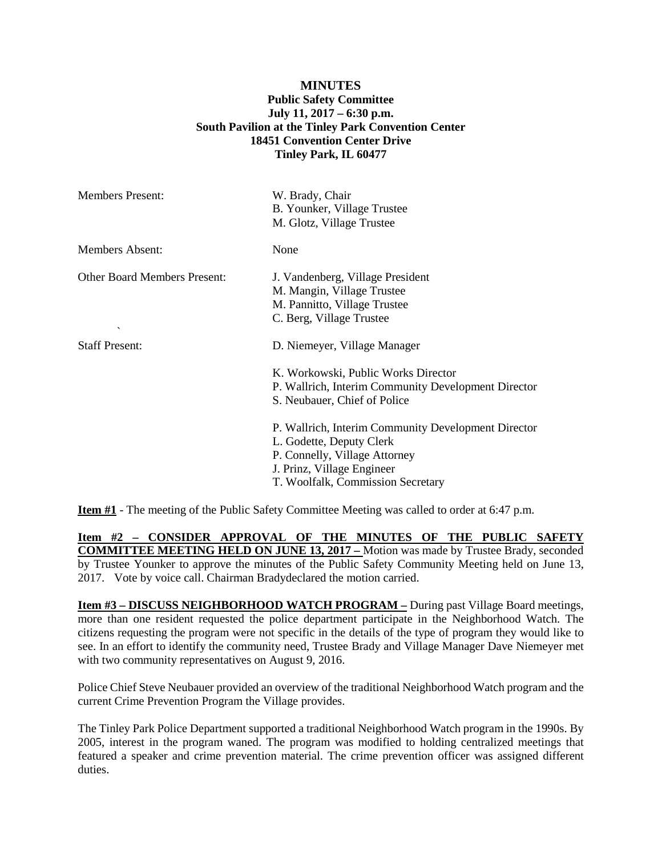## **MINUTES Public Safety Committee July 11, 2017 – 6:30 p.m. South Pavilion at the Tinley Park Convention Center 18451 Convention Center Drive Tinley Park, IL 60477**

| <b>Members Present:</b>                                         | W. Brady, Chair<br>B. Younker, Village Trustee<br>M. Glotz, Village Trustee                                                                                                         |
|-----------------------------------------------------------------|-------------------------------------------------------------------------------------------------------------------------------------------------------------------------------------|
| Members Absent:                                                 | None                                                                                                                                                                                |
| <b>Other Board Members Present:</b><br>$\overline{\phantom{a}}$ | J. Vandenberg, Village President<br>M. Mangin, Village Trustee<br>M. Pannitto, Village Trustee<br>C. Berg, Village Trustee                                                          |
| <b>Staff Present:</b>                                           | D. Niemeyer, Village Manager<br>K. Workowski, Public Works Director<br>P. Wallrich, Interim Community Development Director<br>S. Neubauer, Chief of Police                          |
|                                                                 | P. Wallrich, Interim Community Development Director<br>L. Godette, Deputy Clerk<br>P. Connelly, Village Attorney<br>J. Prinz, Village Engineer<br>T. Woolfalk, Commission Secretary |

**Item #1** - The meeting of the Public Safety Committee Meeting was called to order at 6:47 p.m.

**Item #2 – CONSIDER APPROVAL OF THE MINUTES OF THE PUBLIC SAFETY COMMITTEE MEETING HELD ON JUNE 13, 2017 –** Motion was made by Trustee Brady, seconded by Trustee Younker to approve the minutes of the Public Safety Community Meeting held on June 13, 2017. Vote by voice call. Chairman Bradydeclared the motion carried.

**Item #3 – DISCUSS NEIGHBORHOOD WATCH PROGRAM –** During past Village Board meetings, more than one resident requested the police department participate in the Neighborhood Watch. The citizens requesting the program were not specific in the details of the type of program they would like to see. In an effort to identify the community need, Trustee Brady and Village Manager Dave Niemeyer met with two community representatives on August 9, 2016.

Police Chief Steve Neubauer provided an overview of the traditional Neighborhood Watch program and the current Crime Prevention Program the Village provides.

The Tinley Park Police Department supported a traditional Neighborhood Watch program in the 1990s. By 2005, interest in the program waned. The program was modified to holding centralized meetings that featured a speaker and crime prevention material. The crime prevention officer was assigned different duties.